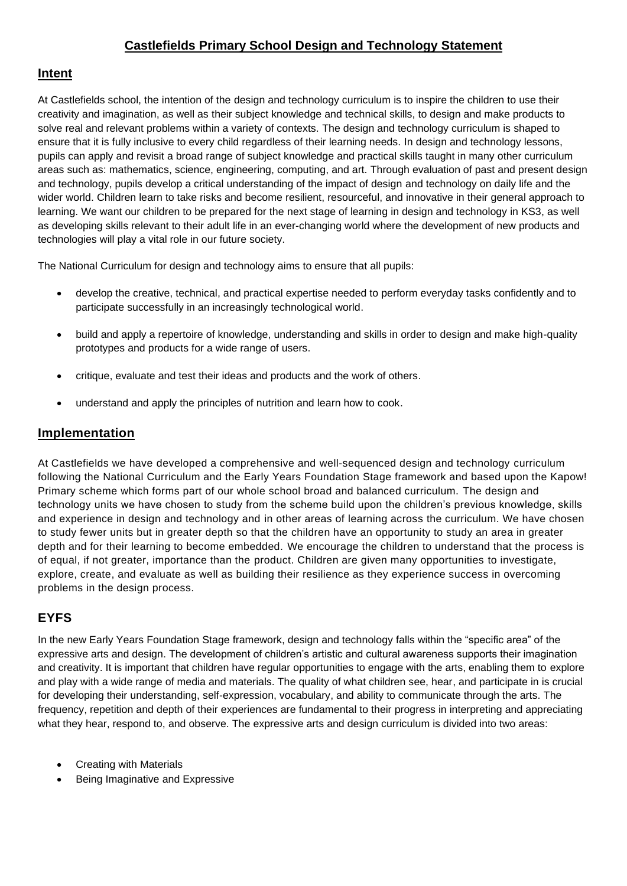# **Castlefields Primary School Design and Technology Statement**

#### **Intent**

At Castlefields school, the intention of the design and technology curriculum is to inspire the children to use their creativity and imagination, as well as their subject knowledge and technical skills, to design and make products to solve real and relevant problems within a variety of contexts. The design and technology curriculum is shaped to ensure that it is fully inclusive to every child regardless of their learning needs. In design and technology lessons, pupils can apply and revisit a broad range of subject knowledge and practical skills taught in many other curriculum areas such as: mathematics, science, engineering, computing, and art. Through evaluation of past and present design and technology, pupils develop a critical understanding of the impact of design and technology on daily life and the wider world. Children learn to take risks and become resilient, resourceful, and innovative in their general approach to learning. We want our children to be prepared for the next stage of learning in design and technology in KS3, as well as developing skills relevant to their adult life in an ever-changing world where the development of new products and technologies will play a vital role in our future society.

The National Curriculum for design and technology aims to ensure that all pupils:

- develop the creative, technical, and practical expertise needed to perform everyday tasks confidently and to participate successfully in an increasingly technological world.
- build and apply a repertoire of knowledge, understanding and skills in order to design and make high-quality prototypes and products for a wide range of users.
- critique, evaluate and test their ideas and products and the work of others.
- understand and apply the principles of nutrition and learn how to cook.

#### **Implementation**

At Castlefields we have developed a comprehensive and well-sequenced design and technology curriculum following the National Curriculum and the Early Years Foundation Stage framework and based upon the Kapow! Primary scheme which forms part of our whole school broad and balanced curriculum. The design and technology units we have chosen to study from the scheme build upon the children's previous knowledge, skills and experience in design and technology and in other areas of learning across the curriculum. We have chosen to study fewer units but in greater depth so that the children have an opportunity to study an area in greater depth and for their learning to become embedded. We encourage the children to understand that the process is of equal, if not greater, importance than the product. Children are given many opportunities to investigate, explore, create, and evaluate as well as building their resilience as they experience success in overcoming problems in the design process.

## **EYFS**

In the new Early Years Foundation Stage framework, design and technology falls within the "specific area" of the expressive arts and design. The development of children's artistic and cultural awareness supports their imagination and creativity. It is important that children have regular opportunities to engage with the arts, enabling them to explore and play with a wide range of media and materials. The quality of what children see, hear, and participate in is crucial for developing their understanding, self-expression, vocabulary, and ability to communicate through the arts. The frequency, repetition and depth of their experiences are fundamental to their progress in interpreting and appreciating what they hear, respond to, and observe. The expressive arts and design curriculum is divided into two areas:

- Creating with Materials
- Being Imaginative and Expressive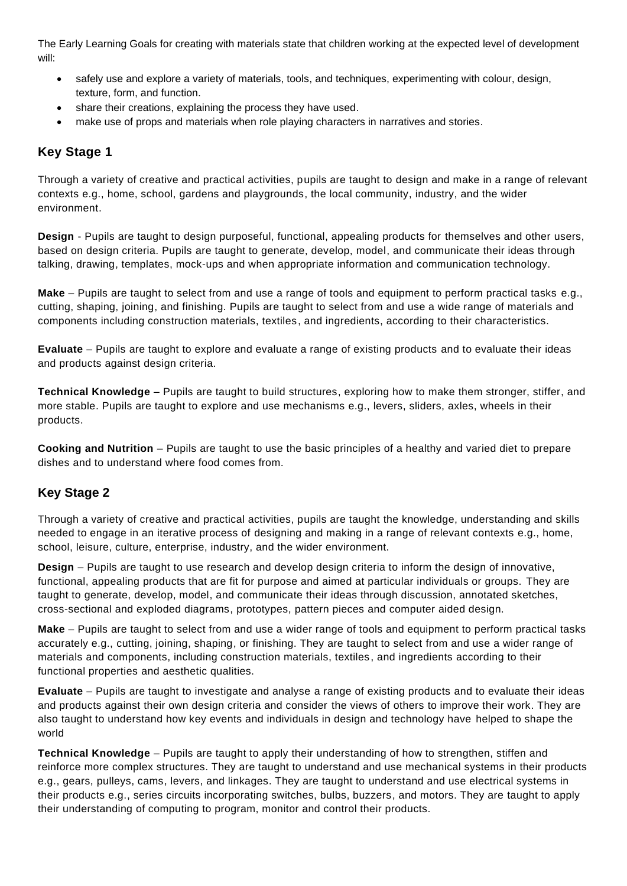The Early Learning Goals for creating with materials state that children working at the expected level of development will:

- safely use and explore a variety of materials, tools, and techniques, experimenting with colour, design, texture, form, and function.
- share their creations, explaining the process they have used.
- make use of props and materials when role playing characters in narratives and stories.

# **Key Stage 1**

Through a variety of creative and practical activities, pupils are taught to design and make in a range of relevant contexts e.g., home, school, gardens and playgrounds, the local community, industry, and the wider environment.

**Design** - Pupils are taught to design purposeful, functional, appealing products for themselves and other users, based on design criteria. Pupils are taught to generate, develop, model, and communicate their ideas through talking, drawing, templates, mock-ups and when appropriate information and communication technology.

**Make** – Pupils are taught to select from and use a range of tools and equipment to perform practical tasks e.g., cutting, shaping, joining, and finishing. Pupils are taught to select from and use a wide range of materials and components including construction materials, textiles, and ingredients, according to their characteristics.

**Evaluate** – Pupils are taught to explore and evaluate a range of existing products and to evaluate their ideas and products against design criteria.

**Technical Knowledge** – Pupils are taught to build structures, exploring how to make them stronger, stiffer, and more stable. Pupils are taught to explore and use mechanisms e.g., levers, sliders, axles, wheels in their products.

**Cooking and Nutrition** – Pupils are taught to use the basic principles of a healthy and varied diet to prepare dishes and to understand where food comes from.

## **Key Stage 2**

Through a variety of creative and practical activities, pupils are taught the knowledge, understanding and skills needed to engage in an iterative process of designing and making in a range of relevant contexts e.g., home, school, leisure, culture, enterprise, industry, and the wider environment.

**Design** – Pupils are taught to use research and develop design criteria to inform the design of innovative, functional, appealing products that are fit for purpose and aimed at particular individuals or groups. They are taught to generate, develop, model, and communicate their ideas through discussion, annotated sketches, cross-sectional and exploded diagrams, prototypes, pattern pieces and computer aided design.

**Make** – Pupils are taught to select from and use a wider range of tools and equipment to perform practical tasks accurately e.g., cutting, joining, shaping, or finishing. They are taught to select from and use a wider range of materials and components, including construction materials, textiles, and ingredients according to their functional properties and aesthetic qualities.

**Evaluate** – Pupils are taught to investigate and analyse a range of existing products and to evaluate their ideas and products against their own design criteria and consider the views of others to improve their work. They are also taught to understand how key events and individuals in design and technology have helped to shape the world

**Technical Knowledge** – Pupils are taught to apply their understanding of how to strengthen, stiffen and reinforce more complex structures. They are taught to understand and use mechanical systems in their products e.g., gears, pulleys, cams, levers, and linkages. They are taught to understand and use electrical systems in their products e.g., series circuits incorporating switches, bulbs, buzzers, and motors. They are taught to apply their understanding of computing to program, monitor and control their products.